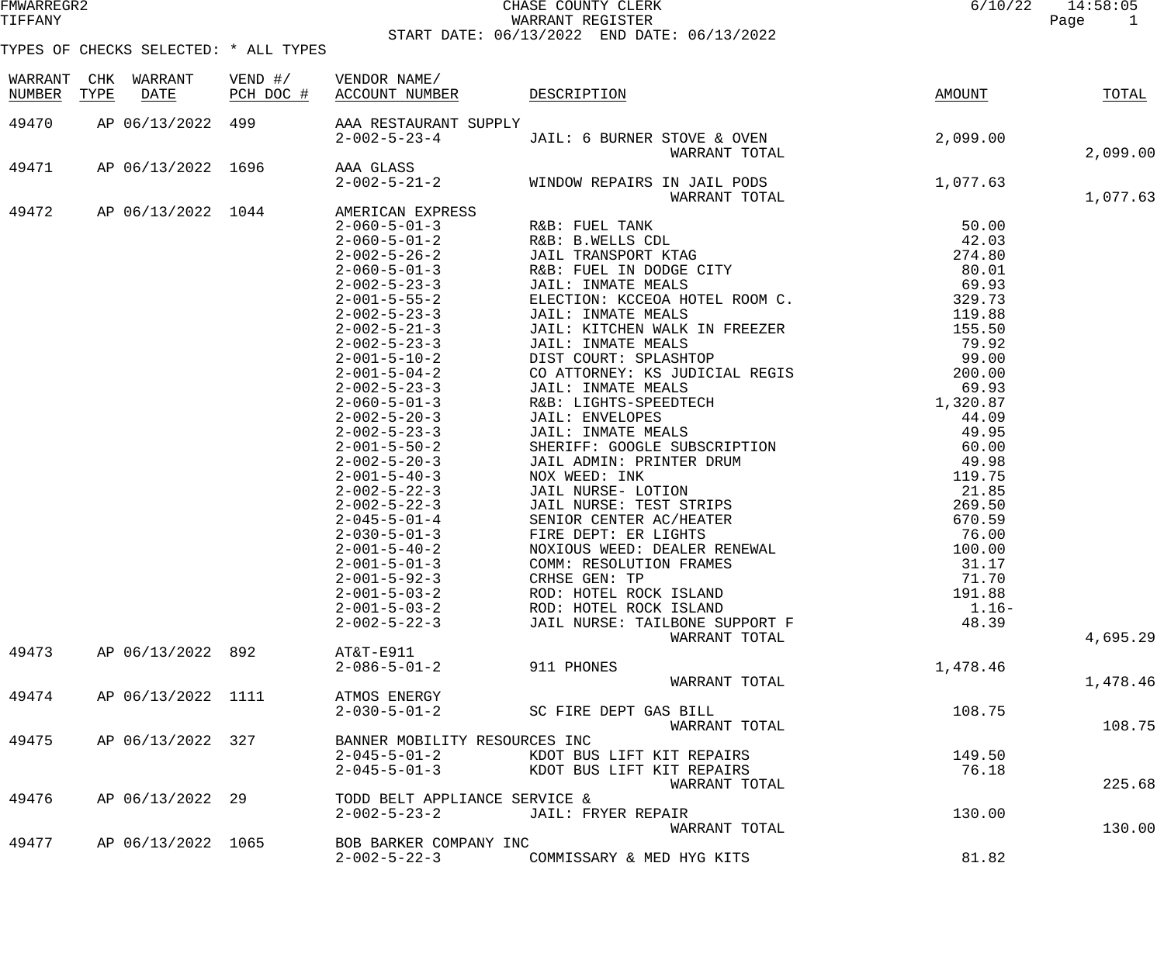### FMWARREGR2 CHASE COUNTY CLERK 6/10/22 14:58:05 WARRANT REGISTER START DATE: 06/13/2022 END DATE: 06/13/2022

| WARRANT<br>NUMBER | CHK<br>TYPE | WARRANT<br>DATE    | $VEND$ #/ | VENDOR NAME/<br>PCH DOC # ACCOUNT NUMBER DESCRIPTION |                                                                                                                                                                                                                                                             | AMOUNT   | TOTAL    |
|-------------------|-------------|--------------------|-----------|------------------------------------------------------|-------------------------------------------------------------------------------------------------------------------------------------------------------------------------------------------------------------------------------------------------------------|----------|----------|
| 49470             |             | AP 06/13/2022 499  |           | AAA RESTAURANT SUPPLY                                |                                                                                                                                                                                                                                                             |          |          |
|                   |             |                    |           |                                                      |                                                                                                                                                                                                                                                             |          |          |
|                   |             |                    |           |                                                      | 2-002-5-23-4 JAIL: 6 BURNER STOVE & OVEN<br>2-002-5-23-4 JAIL: 6 BURNER STOVE & OVEN                                                                                                                                                                        |          | 2,099.00 |
| 49471             |             |                    |           |                                                      | AP 06/13/2022 1696 2-032-5-23<br>AP 06/13/2022 1696 2-032-5-21<br>2-032-5-21<br>2-032-5-21<br>2-032-5-21<br>2-032-5-21<br>2-032-5-21<br>2-032-5-21<br>2-032-5-21<br>2-032-5-23<br>2-032-5-23<br>2-032-5-23<br>2-032-5-23<br>2-032-5-23<br>2-032-5-23<br>2-0 |          |          |
|                   |             |                    |           |                                                      |                                                                                                                                                                                                                                                             |          |          |
|                   |             |                    |           |                                                      |                                                                                                                                                                                                                                                             |          | 1,077.63 |
| 49472             |             |                    |           | AP 06/13/2022 1044 AMERICAN EXPRESS                  |                                                                                                                                                                                                                                                             |          |          |
|                   |             |                    |           |                                                      |                                                                                                                                                                                                                                                             |          |          |
|                   |             |                    |           |                                                      |                                                                                                                                                                                                                                                             |          |          |
|                   |             |                    |           |                                                      |                                                                                                                                                                                                                                                             |          |          |
|                   |             |                    |           |                                                      |                                                                                                                                                                                                                                                             |          |          |
|                   |             |                    |           |                                                      |                                                                                                                                                                                                                                                             |          |          |
|                   |             |                    |           |                                                      |                                                                                                                                                                                                                                                             |          |          |
|                   |             |                    |           |                                                      |                                                                                                                                                                                                                                                             |          |          |
|                   |             |                    |           |                                                      |                                                                                                                                                                                                                                                             |          |          |
|                   |             |                    |           |                                                      |                                                                                                                                                                                                                                                             |          |          |
|                   |             |                    |           |                                                      |                                                                                                                                                                                                                                                             |          |          |
|                   |             |                    |           |                                                      |                                                                                                                                                                                                                                                             |          |          |
|                   |             |                    |           |                                                      |                                                                                                                                                                                                                                                             |          |          |
|                   |             |                    |           |                                                      |                                                                                                                                                                                                                                                             |          |          |
|                   |             |                    |           |                                                      |                                                                                                                                                                                                                                                             |          |          |
|                   |             |                    |           |                                                      |                                                                                                                                                                                                                                                             |          |          |
|                   |             |                    |           |                                                      |                                                                                                                                                                                                                                                             |          |          |
|                   |             |                    |           |                                                      |                                                                                                                                                                                                                                                             |          |          |
|                   |             |                    |           |                                                      |                                                                                                                                                                                                                                                             |          |          |
|                   |             |                    |           |                                                      |                                                                                                                                                                                                                                                             |          |          |
|                   |             |                    |           |                                                      |                                                                                                                                                                                                                                                             |          |          |
|                   |             |                    |           |                                                      |                                                                                                                                                                                                                                                             |          |          |
|                   |             |                    |           |                                                      |                                                                                                                                                                                                                                                             |          |          |
|                   |             |                    |           |                                                      |                                                                                                                                                                                                                                                             |          |          |
|                   |             |                    |           |                                                      |                                                                                                                                                                                                                                                             |          |          |
|                   |             |                    |           |                                                      |                                                                                                                                                                                                                                                             |          |          |
|                   |             |                    |           | $2 - 002 - 5 - 22 - 3$                               | JAIL NURSE: TAILBONE SUPPORT F                                                                                                                                                                                                                              | 48.39    |          |
|                   |             |                    |           |                                                      | WARRANT TOTAL                                                                                                                                                                                                                                               |          | 4,695.29 |
| 49473             |             | AP 06/13/2022 892  |           | AT&T-E911                                            |                                                                                                                                                                                                                                                             |          |          |
|                   |             |                    |           | $2 - 086 - 5 - 01 - 2$                               | 911 PHONES                                                                                                                                                                                                                                                  | 1,478.46 |          |
|                   |             | AP 06/13/2022 1111 |           | ATMOS ENERGY                                         | WARRANT TOTAL                                                                                                                                                                                                                                               |          | 1,478.46 |
| 49474             |             |                    |           | $2 - 030 - 5 - 01 - 2$                               | SC FIRE DEPT GAS BILL                                                                                                                                                                                                                                       | 108.75   |          |
|                   |             |                    |           |                                                      | WARRANT TOTAL                                                                                                                                                                                                                                               |          | 108.75   |
| 49475             |             | AP 06/13/2022 327  |           | BANNER MOBILITY RESOURCES INC                        |                                                                                                                                                                                                                                                             |          |          |
|                   |             |                    |           | $2 - 045 - 5 - 01 - 2$                               | KDOT BUS LIFT KIT REPAIRS                                                                                                                                                                                                                                   | 149.50   |          |
|                   |             |                    |           | $2 - 045 - 5 - 01 - 3$                               | KDOT BUS LIFT KIT REPAIRS                                                                                                                                                                                                                                   | 76.18    |          |
|                   |             |                    |           |                                                      | WARRANT TOTAL                                                                                                                                                                                                                                               |          | 225.68   |
| 49476             |             | AP 06/13/2022 29   |           | TODD BELT APPLIANCE SERVICE &                        |                                                                                                                                                                                                                                                             |          |          |
|                   |             |                    |           | $2 - 002 - 5 - 23 - 2$                               | JAIL: FRYER REPAIR                                                                                                                                                                                                                                          | 130.00   |          |
|                   |             |                    |           |                                                      | WARRANT TOTAL                                                                                                                                                                                                                                               |          | 130.00   |
| 49477             |             | AP 06/13/2022 1065 |           | BOB BARKER COMPANY INC                               |                                                                                                                                                                                                                                                             |          |          |
|                   |             |                    |           | $2 - 002 - 5 - 22 - 3$                               | COMMISSARY & MED HYG KITS                                                                                                                                                                                                                                   | 81.82    |          |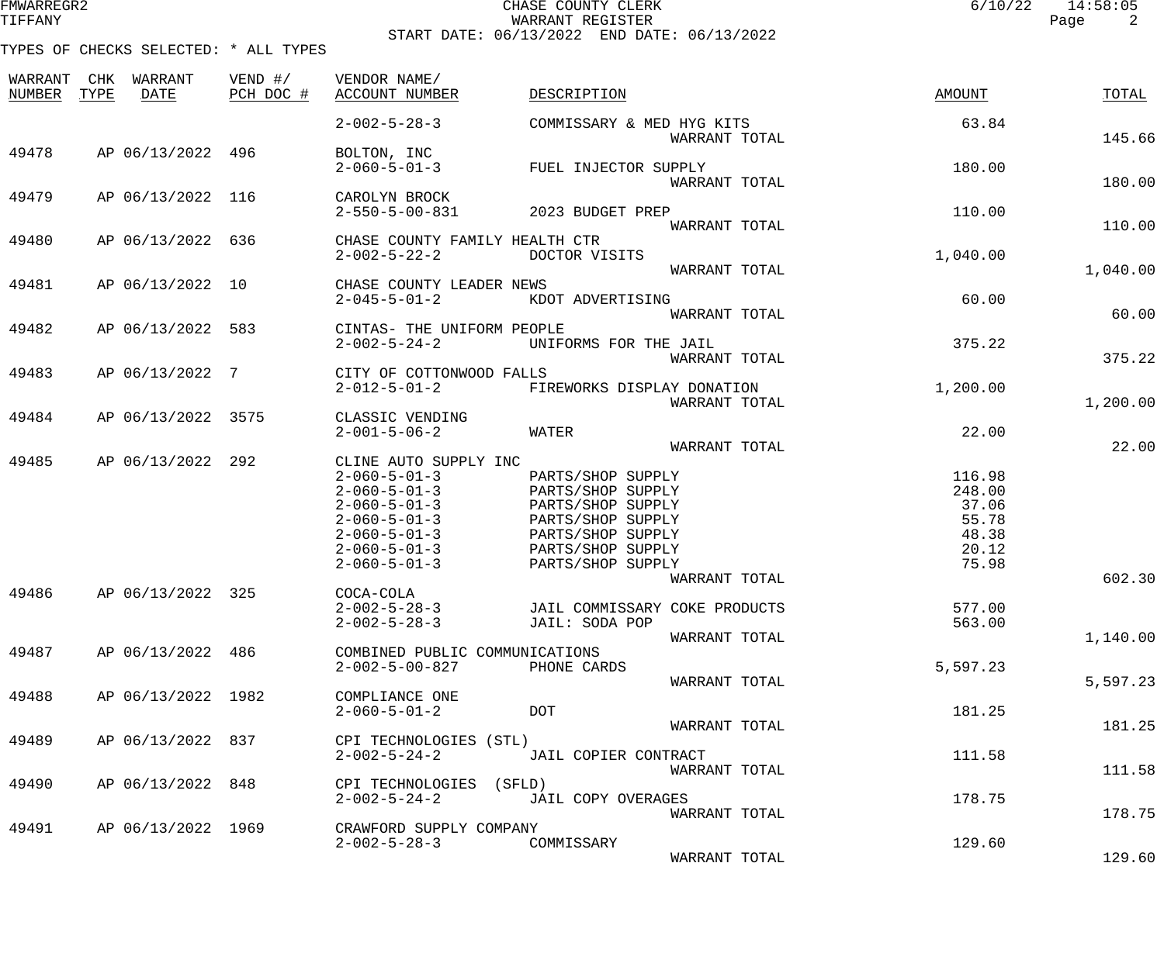| FMWARREGR. |  |  |
|------------|--|--|
| TIFFANY    |  |  |

## CHASE COUNTY CLERK و2011/12 ochase Country Clear (11:58:05<br>Martant Register (12:58:05 Page 2 TIFFANY WARRANT REGISTER Page 2 START DATE: 06/13/2022 END DATE: 06/13/2022

| WARRANT<br>NUMBER | CHK<br>TYPE | WARRANT<br>DATE    | VEND $\#/$<br>PCH DOC # | VENDOR NAME/<br><b>ACCOUNT NUMBER</b>            | DESCRIPTION                   |               | AMOUNT   | TOTAL    |
|-------------------|-------------|--------------------|-------------------------|--------------------------------------------------|-------------------------------|---------------|----------|----------|
|                   |             |                    |                         | $2 - 002 - 5 - 28 - 3$                           | COMMISSARY & MED HYG KITS     | WARRANT TOTAL | 63.84    | 145.66   |
| 49478             |             | AP 06/13/2022 496  |                         | BOLTON, INC                                      |                               |               |          |          |
|                   |             |                    |                         | $2 - 060 - 5 - 01 - 3$                           | FUEL INJECTOR SUPPLY          | WARRANT TOTAL | 180.00   | 180.00   |
| 49479             |             | AP 06/13/2022 116  |                         | CAROLYN BROCK                                    |                               |               |          |          |
|                   |             |                    |                         | $2 - 550 - 5 - 00 - 831$                         | 2023 BUDGET PREP              |               | 110.00   |          |
|                   |             |                    |                         |                                                  |                               | WARRANT TOTAL |          | 110.00   |
| 49480             |             | AP 06/13/2022      | 636                     | CHASE COUNTY FAMILY HEALTH CTR                   |                               |               |          |          |
|                   |             |                    |                         | $2 - 002 - 5 - 22 - 2$                           | DOCTOR VISITS                 | WARRANT TOTAL | 1,040.00 | 1,040.00 |
| 49481             |             | AP 06/13/2022 10   |                         | CHASE COUNTY LEADER NEWS                         |                               |               |          |          |
|                   |             |                    |                         | $2 - 045 - 5 - 01 - 2$                           | KDOT ADVERTISING              |               | 60.00    |          |
|                   |             |                    |                         |                                                  |                               | WARRANT TOTAL |          | 60.00    |
| 49482             |             | AP 06/13/2022      | 583                     | CINTAS- THE UNIFORM PEOPLE                       |                               |               |          |          |
|                   |             |                    |                         | $2 - 002 - 5 - 24 - 2$                           | UNIFORMS FOR THE JAIL         |               | 375.22   |          |
|                   |             |                    |                         |                                                  |                               | WARRANT TOTAL |          | 375.22   |
| 49483             |             | AP 06/13/2022 7    |                         | CITY OF COTTONWOOD FALLS                         |                               |               |          |          |
|                   |             |                    |                         | $2 - 012 - 5 - 01 - 2$                           | FIREWORKS DISPLAY DONATION    |               | 1,200.00 |          |
| 49484             |             | AP 06/13/2022 3575 |                         |                                                  |                               | WARRANT TOTAL |          | 1,200.00 |
|                   |             |                    |                         | CLASSIC VENDING<br>$2 - 001 - 5 - 06 - 2$        | WATER                         |               | 22.00    |          |
|                   |             |                    |                         |                                                  |                               | WARRANT TOTAL |          | 22.00    |
| 49485             |             | AP 06/13/2022      | 292                     | CLINE AUTO SUPPLY INC                            |                               |               |          |          |
|                   |             |                    |                         | $2 - 060 - 5 - 01 - 3$                           | PARTS/SHOP SUPPLY             |               | 116.98   |          |
|                   |             |                    |                         | $2 - 060 - 5 - 01 - 3$                           | PARTS/SHOP SUPPLY             |               | 248.00   |          |
|                   |             |                    |                         | $2 - 060 - 5 - 01 - 3$                           | PARTS/SHOP SUPPLY             |               | 37.06    |          |
|                   |             |                    |                         | $2 - 060 - 5 - 01 - 3$                           | PARTS/SHOP SUPPLY             |               | 55.78    |          |
|                   |             |                    |                         | $2 - 060 - 5 - 01 - 3$                           | PARTS/SHOP SUPPLY             |               | 48.38    |          |
|                   |             |                    |                         | $2 - 060 - 5 - 01 - 3$<br>$2 - 060 - 5 - 01 - 3$ | PARTS/SHOP SUPPLY             |               | 20.12    |          |
|                   |             |                    |                         |                                                  | PARTS/SHOP SUPPLY             | WARRANT TOTAL | 75.98    | 602.30   |
| 49486             |             | AP 06/13/2022      | 325                     | COCA-COLA                                        |                               |               |          |          |
|                   |             |                    |                         | $2 - 002 - 5 - 28 - 3$                           | JAIL COMMISSARY COKE PRODUCTS |               | 577.00   |          |
|                   |             |                    |                         | $2 - 002 - 5 - 28 - 3$                           | JAIL: SODA POP                |               | 563.00   |          |
|                   |             |                    |                         |                                                  |                               | WARRANT TOTAL |          | 1,140.00 |
| 49487             |             | AP 06/13/2022 486  |                         | COMBINED PUBLIC COMMUNICATIONS                   |                               |               |          |          |
|                   |             |                    |                         | $2 - 002 - 5 - 00 - 827$                         | PHONE CARDS                   |               | 5,597.23 |          |
|                   |             |                    |                         |                                                  |                               | WARRANT TOTAL |          | 5,597.23 |
| 49488             |             | AP 06/13/2022 1982 |                         | COMPLIANCE ONE<br>$2 - 060 - 5 - 01 - 2$         | <b>DOT</b>                    |               | 181.25   |          |
|                   |             |                    |                         |                                                  |                               | WARRANT TOTAL |          | 181.25   |
| 49489             |             | AP 06/13/2022 837  |                         | CPI TECHNOLOGIES (STL)                           |                               |               |          |          |
|                   |             |                    |                         | $2 - 002 - 5 - 24 - 2$                           | JAIL COPIER CONTRACT          |               | 111.58   |          |
|                   |             |                    |                         |                                                  |                               | WARRANT TOTAL |          | 111.58   |
| 49490             |             | AP 06/13/2022 848  |                         | CPI TECHNOLOGIES                                 | (SFLD)                        |               |          |          |
|                   |             |                    |                         | $2 - 002 - 5 - 24 - 2$                           | JAIL COPY OVERAGES            |               | 178.75   |          |
|                   |             |                    |                         |                                                  |                               | WARRANT TOTAL |          | 178.75   |
| 49491             |             | AP 06/13/2022 1969 |                         | CRAWFORD SUPPLY COMPANY                          |                               |               |          |          |
|                   |             |                    |                         | $2 - 002 - 5 - 28 - 3$                           | COMMISSARY                    |               | 129.60   | 129.60   |
|                   |             |                    |                         |                                                  |                               | WARRANT TOTAL |          |          |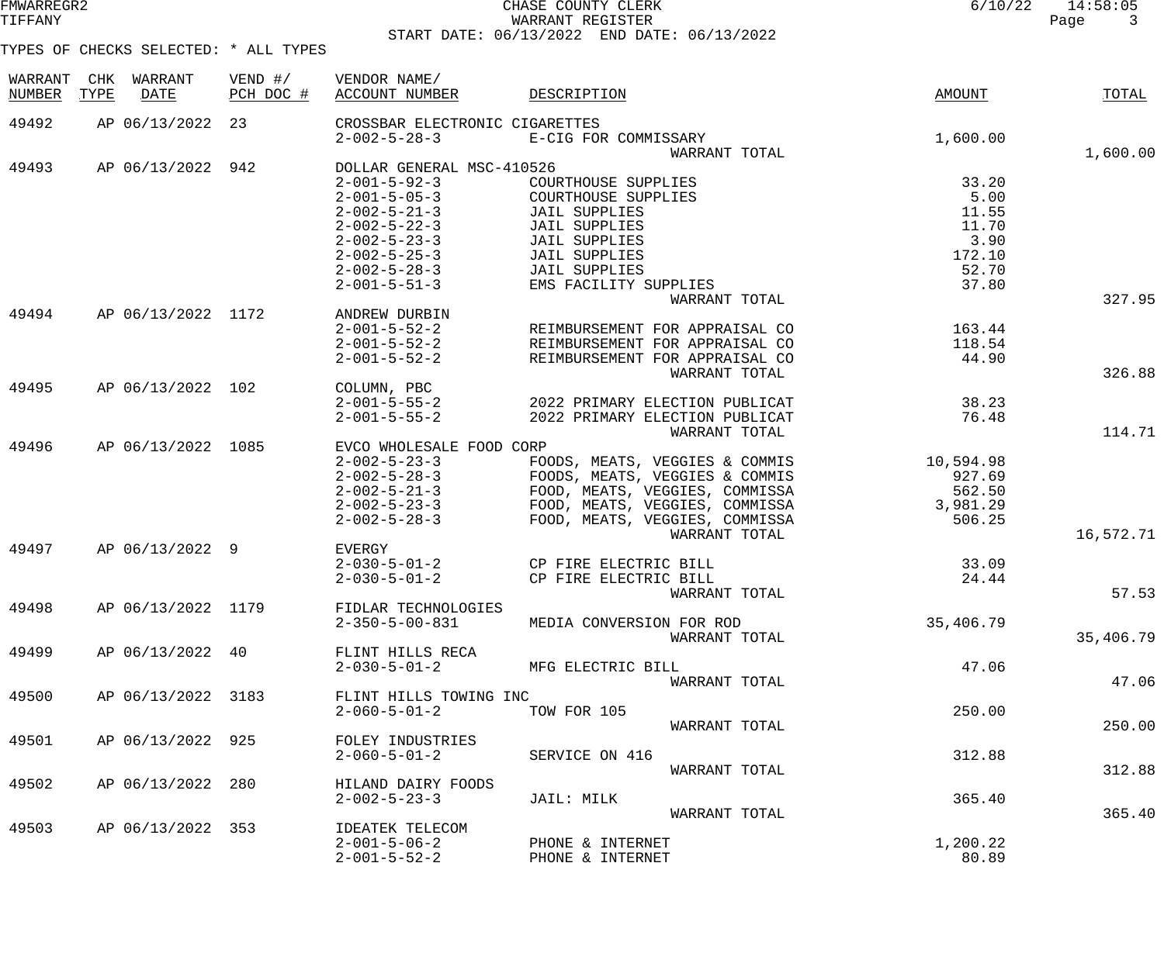### FMWARREGR2 CHASE COUNTY CLERK 6/10/22 14:58:05 WARRANT REGISTER START DATE: 06/13/2022 END DATE: 06/13/2022

| WARRANT<br><b>NUMBER</b> | CHK<br>TYPE | WARRANT<br><b>DATE</b> | VEND $\#/$<br>PCH DOC # | VENDOR NAME/<br>ACCOUNT NUMBER | DESCRIPTION                     | AMOUNT    | TOTAL     |
|--------------------------|-------------|------------------------|-------------------------|--------------------------------|---------------------------------|-----------|-----------|
|                          |             |                        |                         |                                |                                 |           |           |
| 49492                    |             | AP 06/13/2022 23       |                         | CROSSBAR ELECTRONIC CIGARETTES |                                 |           |           |
|                          |             |                        |                         | $2 - 002 - 5 - 28 - 3$         | E-CIG FOR COMMISSARY            | 1,600.00  |           |
| 49493                    |             | AP 06/13/2022 942      |                         | DOLLAR GENERAL MSC-410526      | WARRANT TOTAL                   |           | 1,600.00  |
|                          |             |                        |                         | $2 - 001 - 5 - 92 - 3$         | COURTHOUSE SUPPLIES             | 33.20     |           |
|                          |             |                        |                         | $2 - 001 - 5 - 05 - 3$         | COURTHOUSE SUPPLIES             | 5.00      |           |
|                          |             |                        |                         | $2 - 002 - 5 - 21 - 3$         | <b>JAIL SUPPLIES</b>            | 11.55     |           |
|                          |             |                        |                         | $2 - 002 - 5 - 22 - 3$         | <b>JAIL SUPPLIES</b>            | 11.70     |           |
|                          |             |                        |                         | $2 - 002 - 5 - 23 - 3$         | <b>JAIL SUPPLIES</b>            | 3.90      |           |
|                          |             |                        |                         | $2 - 002 - 5 - 25 - 3$         | <b>JAIL SUPPLIES</b>            | 172.10    |           |
|                          |             |                        |                         | $2 - 002 - 5 - 28 - 3$         | <b>JAIL SUPPLIES</b>            | 52.70     |           |
|                          |             |                        |                         | $2 - 001 - 5 - 51 - 3$         | EMS FACILITY SUPPLIES           | 37.80     |           |
|                          |             |                        |                         |                                | WARRANT TOTAL                   |           | 327.95    |
| 49494                    |             | AP 06/13/2022 1172     |                         | ANDREW DURBIN                  |                                 |           |           |
|                          |             |                        |                         | $2 - 001 - 5 - 52 - 2$         | REIMBURSEMENT FOR APPRAISAL CO  | 163.44    |           |
|                          |             |                        |                         | $2 - 001 - 5 - 52 - 2$         | REIMBURSEMENT FOR APPRAISAL CO  | 118.54    |           |
|                          |             |                        |                         | $2 - 001 - 5 - 52 - 2$         | REIMBURSEMENT FOR APPRAISAL CO  | 44.90     |           |
|                          |             |                        |                         |                                | WARRANT TOTAL                   |           | 326.88    |
| 49495                    |             | AP 06/13/2022 102      |                         | COLUMN, PBC                    |                                 |           |           |
|                          |             |                        |                         | $2 - 001 - 5 - 55 - 2$         | 2022 PRIMARY ELECTION PUBLICAT  | 38.23     |           |
|                          |             |                        |                         | $2 - 001 - 5 - 55 - 2$         | 2022 PRIMARY ELECTION PUBLICAT  | 76.48     |           |
|                          |             |                        |                         |                                | WARRANT TOTAL                   |           | 114.71    |
| 49496                    |             | AP 06/13/2022 1085     |                         | EVCO WHOLESALE FOOD CORP       |                                 |           |           |
|                          |             |                        |                         | $2 - 002 - 5 - 23 - 3$         | FOODS, MEATS, VEGGIES & COMMIS  | 10,594.98 |           |
|                          |             |                        |                         | $2 - 002 - 5 - 28 - 3$         | FOODS, MEATS, VEGGIES & COMMIS  | 927.69    |           |
|                          |             |                        |                         | $2 - 002 - 5 - 21 - 3$         | FOOD, MEATS, VEGGIES, COMMISSA  | 562.50    |           |
|                          |             |                        |                         | $2 - 002 - 5 - 23 - 3$         | FOOD, MEATS, VEGGIES, COMMISSA  | 3,981.29  |           |
|                          |             |                        |                         | $2 - 002 - 5 - 28 - 3$         | FOOD, MEATS, VEGGIES, COMMISSA  | 506.25    |           |
|                          |             |                        |                         |                                | WARRANT TOTAL                   |           | 16,572.71 |
| 49497                    |             | AP 06/13/2022 9        |                         | EVERGY                         |                                 |           |           |
|                          |             |                        |                         | $2 - 030 - 5 - 01 - 2$         | CP FIRE ELECTRIC BILL           | 33.09     |           |
|                          |             |                        |                         | $2 - 030 - 5 - 01 - 2$         | CP FIRE ELECTRIC BILL           | 24.44     |           |
|                          |             |                        |                         |                                | WARRANT TOTAL                   |           | 57.53     |
| 49498                    |             | AP 06/13/2022 1179     |                         | FIDLAR TECHNOLOGIES            |                                 |           |           |
|                          |             |                        |                         | $2 - 350 - 5 - 00 - 831$       | MEDIA CONVERSION FOR ROD        | 35,406.79 |           |
|                          |             |                        |                         |                                | WARRANT TOTAL                   |           | 35,406.79 |
| 49499                    |             | AP 06/13/2022 40       |                         | FLINT HILLS RECA               |                                 |           |           |
|                          |             |                        |                         | $2 - 030 - 5 - 01 - 2$         | MFG ELECTRIC BILL               | 47.06     |           |
|                          |             |                        |                         |                                | WARRANT TOTAL                   |           | 47.06     |
| 49500                    |             | AP 06/13/2022 3183     |                         | FLINT HILLS TOWING INC         |                                 |           |           |
|                          |             |                        |                         | $2 - 060 - 5 - 01 - 2$         | TOW FOR 105                     | 250.00    |           |
|                          |             |                        |                         |                                | WARRANT TOTAL                   |           | 250.00    |
| 49501                    |             | AP 06/13/2022 925      |                         | FOLEY INDUSTRIES               |                                 |           |           |
|                          |             |                        |                         | $2 - 060 - 5 - 01 - 2$         | SERVICE ON 416<br>WARRANT TOTAL | 312.88    | 312.88    |
| 49502                    |             | AP 06/13/2022          | 280                     | HILAND DAIRY FOODS             |                                 |           |           |
|                          |             |                        |                         | $2 - 002 - 5 - 23 - 3$         | JAIL: MILK                      | 365.40    |           |
|                          |             |                        |                         |                                | WARRANT TOTAL                   |           | 365.40    |
| 49503                    |             | AP 06/13/2022 353      |                         | <b>IDEATEK TELECOM</b>         |                                 |           |           |
|                          |             |                        |                         | $2 - 001 - 5 - 06 - 2$         | PHONE & INTERNET                | 1,200.22  |           |
|                          |             |                        |                         | $2 - 001 - 5 - 52 - 2$         | PHONE & INTERNET                | 80.89     |           |
|                          |             |                        |                         |                                |                                 |           |           |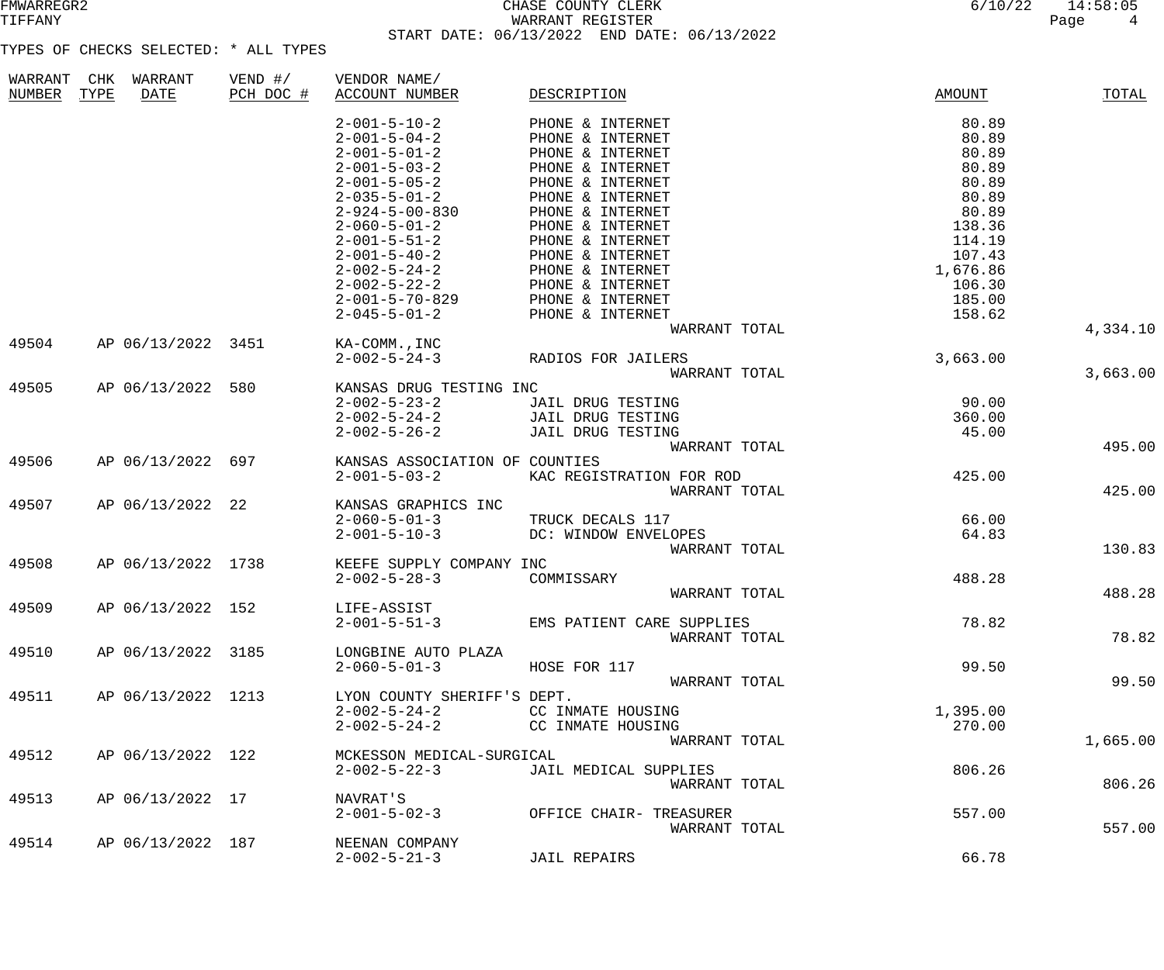## FMWARREGR2 CHASE COUNTY CLERK 6/10/22 14:58:05 WARRANT REGISTER START DATE: 06/13/2022 END DATE: 06/13/2022

| WARRANT | CHK  | WARRANT            | VEND $\#/$ | VENDOR NAME/                   |                           |               |          |
|---------|------|--------------------|------------|--------------------------------|---------------------------|---------------|----------|
| NUMBER  | TYPE | <b>DATE</b>        | PCH DOC #  | <b>ACCOUNT NUMBER</b>          | DESCRIPTION               | <b>AMOUNT</b> | TOTAL    |
|         |      |                    |            |                                |                           |               |          |
|         |      |                    |            | $2 - 001 - 5 - 10 - 2$         | PHONE & INTERNET          | 80.89         |          |
|         |      |                    |            | $2 - 001 - 5 - 04 - 2$         | PHONE & INTERNET          | 80.89         |          |
|         |      |                    |            | $2 - 001 - 5 - 01 - 2$         | PHONE & INTERNET          | 80.89         |          |
|         |      |                    |            | $2 - 001 - 5 - 03 - 2$         | PHONE & INTERNET          | 80.89         |          |
|         |      |                    |            | $2 - 001 - 5 - 05 - 2$         | PHONE & INTERNET          | 80.89         |          |
|         |      |                    |            | $2 - 035 - 5 - 01 - 2$         | PHONE & INTERNET          | 80.89         |          |
|         |      |                    |            | $2 - 924 - 5 - 00 - 830$       | PHONE & INTERNET          | 80.89         |          |
|         |      |                    |            | $2 - 060 - 5 - 01 - 2$         | PHONE & INTERNET          | 138.36        |          |
|         |      |                    |            | $2 - 001 - 5 - 51 - 2$         | PHONE & INTERNET          | 114.19        |          |
|         |      |                    |            | $2 - 001 - 5 - 40 - 2$         | PHONE & INTERNET          | 107.43        |          |
|         |      |                    |            | $2 - 002 - 5 - 24 - 2$         | PHONE & INTERNET          | 1,676.86      |          |
|         |      |                    |            | $2 - 002 - 5 - 22 - 2$         | PHONE & INTERNET          | 106.30        |          |
|         |      |                    |            | $2 - 001 - 5 - 70 - 829$       | PHONE & INTERNET          | 185.00        |          |
|         |      |                    |            | $2 - 045 - 5 - 01 - 2$         | PHONE & INTERNET          | 158.62        |          |
|         |      |                    |            |                                | WARRANT TOTAL             |               | 4,334.10 |
| 49504   |      | AP 06/13/2022 3451 |            | KA-COMM., INC                  |                           |               |          |
|         |      |                    |            | $2 - 002 - 5 - 24 - 3$         | RADIOS FOR JAILERS        | 3,663.00      |          |
|         |      |                    |            |                                | WARRANT TOTAL             |               | 3,663.00 |
| 49505   |      | AP 06/13/2022      | 580        | KANSAS DRUG TESTING INC        |                           |               |          |
|         |      |                    |            | $2 - 002 - 5 - 23 - 2$         | JAIL DRUG TESTING         | 90.00         |          |
|         |      |                    |            | $2 - 002 - 5 - 24 - 2$         | JAIL DRUG TESTING         | 360.00        |          |
|         |      |                    |            | $2 - 002 - 5 - 26 - 2$         | JAIL DRUG TESTING         | 45.00         |          |
|         |      |                    |            |                                | WARRANT TOTAL             |               | 495.00   |
| 49506   |      | AP 06/13/2022      | 697        | KANSAS ASSOCIATION OF COUNTIES |                           |               |          |
|         |      |                    |            | $2 - 001 - 5 - 03 - 2$         | KAC REGISTRATION FOR ROD  | 425.00        |          |
|         |      |                    |            |                                | WARRANT TOTAL             |               | 425.00   |
| 49507   |      | AP 06/13/2022      | 22         | KANSAS GRAPHICS INC            |                           |               |          |
|         |      |                    |            | $2 - 060 - 5 - 01 - 3$         |                           |               |          |
|         |      |                    |            |                                | TRUCK DECALS 117          | 66.00         |          |
|         |      |                    |            | $2 - 001 - 5 - 10 - 3$         | DC: WINDOW ENVELOPES      | 64.83         |          |
|         |      |                    |            |                                | WARRANT TOTAL             |               | 130.83   |
| 49508   |      | AP 06/13/2022 1738 |            | KEEFE SUPPLY COMPANY INC       |                           |               |          |
|         |      |                    |            | $2 - 002 - 5 - 28 - 3$         | COMMISSARY                | 488.28        |          |
|         |      |                    |            |                                | WARRANT TOTAL             |               | 488.28   |
| 49509   |      | AP 06/13/2022 152  |            | LIFE-ASSIST                    |                           |               |          |
|         |      |                    |            | $2 - 001 - 5 - 51 - 3$         | EMS PATIENT CARE SUPPLIES | 78.82         |          |
|         |      |                    |            |                                | WARRANT TOTAL             |               | 78.82    |
| 49510   |      | AP 06/13/2022 3185 |            | LONGBINE AUTO PLAZA            |                           |               |          |
|         |      |                    |            | $2 - 060 - 5 - 01 - 3$         | HOSE FOR 117              | 99.50         |          |
|         |      |                    |            |                                | WARRANT TOTAL             |               | 99.50    |
| 49511   |      | AP 06/13/2022 1213 |            | LYON COUNTY SHERIFF'S DEPT.    |                           |               |          |
|         |      |                    |            | $2 - 002 - 5 - 24 - 2$         | CC INMATE HOUSING         | 1,395.00      |          |
|         |      |                    |            | $2 - 002 - 5 - 24 - 2$         | CC INMATE HOUSING         | 270.00        |          |
|         |      |                    |            |                                | WARRANT TOTAL             |               | 1,665.00 |
| 49512   |      | AP 06/13/2022 122  |            | MCKESSON MEDICAL-SURGICAL      |                           |               |          |
|         |      |                    |            | $2 - 002 - 5 - 22 - 3$         | JAIL MEDICAL SUPPLIES     | 806.26        |          |
|         |      |                    |            |                                | WARRANT TOTAL             |               | 806.26   |
| 49513   |      | AP 06/13/2022 17   |            | NAVRAT'S                       |                           |               |          |
|         |      |                    |            | $2 - 001 - 5 - 02 - 3$         | OFFICE CHAIR- TREASURER   | 557.00        |          |
|         |      |                    |            |                                | WARRANT TOTAL             |               | 557.00   |
| 49514   |      | AP 06/13/2022      | 187        | NEENAN COMPANY                 |                           |               |          |
|         |      |                    |            | $2 - 002 - 5 - 21 - 3$         | <b>JAIL REPAIRS</b>       | 66.78         |          |
|         |      |                    |            |                                |                           |               |          |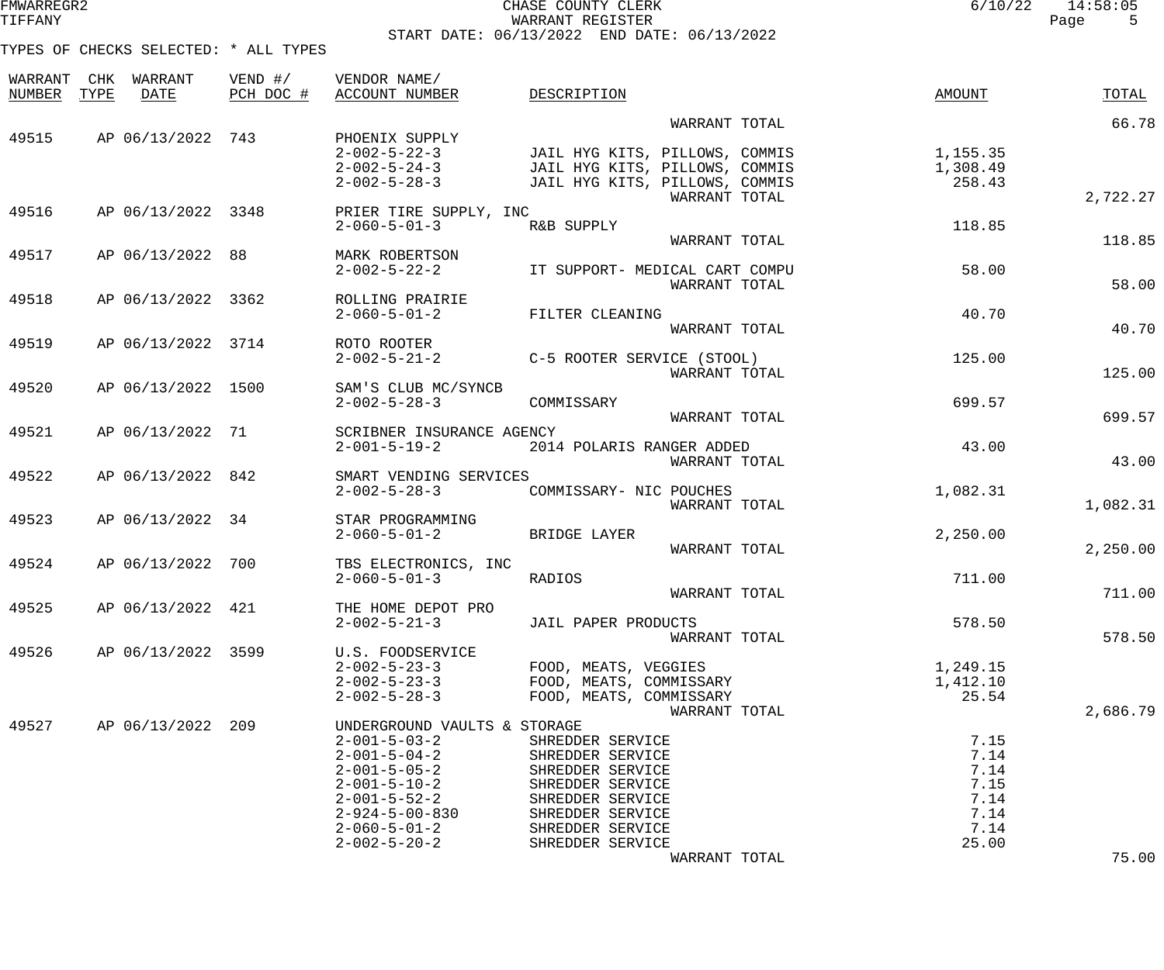| CHASE COUNTY CLERK                          | 6/10/22 | 14:58:05 |  |
|---------------------------------------------|---------|----------|--|
| WARRANT REGISTER                            |         | Page     |  |
| START DATE: 06/13/2022 END DATE: 06/13/2022 |         |          |  |

TYPES OF CHECKS SELECTED: \* ALL TYPES

FMWARREGR2 CHASE COUNTY CLERK 6/10/22 14:58:05

| WARRANT<br>NUMBER | WARRANT<br>CHK<br>TYPE<br><b>DATE</b> | VEND $\#/$<br>PCH DOC # | VENDOR NAME/<br>ACCOUNT NUMBER                                                                                                                                                                                                                 | DESCRIPTION                                                                                                                                                                   | AMOUNT                                                        | TOTAL    |
|-------------------|---------------------------------------|-------------------------|------------------------------------------------------------------------------------------------------------------------------------------------------------------------------------------------------------------------------------------------|-------------------------------------------------------------------------------------------------------------------------------------------------------------------------------|---------------------------------------------------------------|----------|
|                   |                                       |                         |                                                                                                                                                                                                                                                | WARRANT TOTAL                                                                                                                                                                 |                                                               | 66.78    |
| 49515             | AP 06/13/2022 743                     |                         | PHOENIX SUPPLY<br>$2 - 002 - 5 - 22 - 3$<br>$2 - 002 - 5 - 24 - 3$<br>$2 - 002 - 5 - 28 - 3$                                                                                                                                                   | JAIL HYG KITS, PILLOWS, COMMIS<br>JAIL HYG KITS, PILLOWS, COMMIS<br>JAIL HYG KITS, PILLOWS, COMMIS                                                                            | 1,155.35<br>1,308.49<br>258.43                                |          |
| 49516             | AP 06/13/2022 3348                    |                         | PRIER TIRE SUPPLY, INC                                                                                                                                                                                                                         | WARRANT TOTAL                                                                                                                                                                 |                                                               | 2,722.27 |
|                   |                                       |                         | $2 - 060 - 5 - 01 - 3$                                                                                                                                                                                                                         | R&B SUPPLY<br>WARRANT TOTAL                                                                                                                                                   | 118.85                                                        | 118.85   |
| 49517             | AP 06/13/2022 88                      |                         | MARK ROBERTSON<br>$2 - 002 - 5 - 22 - 2$                                                                                                                                                                                                       | IT SUPPORT- MEDICAL CART COMPU                                                                                                                                                | 58.00                                                         |          |
| 49518             | AP 06/13/2022 3362                    |                         | ROLLING PRAIRIE<br>$2 - 060 - 5 - 01 - 2$                                                                                                                                                                                                      | WARRANT TOTAL<br>FILTER CLEANING                                                                                                                                              | 40.70                                                         | 58.00    |
|                   |                                       |                         |                                                                                                                                                                                                                                                | WARRANT TOTAL                                                                                                                                                                 |                                                               | 40.70    |
| 49519             | AP 06/13/2022 3714                    |                         | ROTO ROOTER<br>$2 - 002 - 5 - 21 - 2$                                                                                                                                                                                                          | C-5 ROOTER SERVICE (STOOL)<br>WARRANT TOTAL                                                                                                                                   | 125.00                                                        | 125.00   |
| 49520             | AP 06/13/2022 1500                    |                         | SAM'S CLUB MC/SYNCB<br>$2 - 002 - 5 - 28 - 3$                                                                                                                                                                                                  | COMMISSARY                                                                                                                                                                    | 699.57                                                        |          |
| 49521             | AP 06/13/2022 71                      |                         | SCRIBNER INSURANCE AGENCY                                                                                                                                                                                                                      | WARRANT TOTAL                                                                                                                                                                 |                                                               | 699.57   |
|                   |                                       |                         | $2 - 001 - 5 - 19 - 2$                                                                                                                                                                                                                         | 2014 POLARIS RANGER ADDED<br>WARRANT TOTAL                                                                                                                                    | 43.00                                                         | 43.00    |
| 49522             | AP 06/13/2022 842                     |                         | SMART VENDING SERVICES<br>$2 - 002 - 5 - 28 - 3$                                                                                                                                                                                               | COMMISSARY- NIC POUCHES                                                                                                                                                       | 1,082.31                                                      |          |
|                   |                                       |                         |                                                                                                                                                                                                                                                | WARRANT TOTAL                                                                                                                                                                 |                                                               | 1,082.31 |
| 49523             | AP 06/13/2022 34                      |                         | STAR PROGRAMMING<br>$2 - 060 - 5 - 01 - 2$                                                                                                                                                                                                     | BRIDGE LAYER<br>WARRANT TOTAL                                                                                                                                                 | 2,250.00                                                      | 2,250.00 |
| 49524             | AP 06/13/2022                         | 700                     | TBS ELECTRONICS, INC                                                                                                                                                                                                                           |                                                                                                                                                                               |                                                               |          |
|                   |                                       |                         | $2 - 060 - 5 - 01 - 3$                                                                                                                                                                                                                         | RADIOS<br>WARRANT TOTAL                                                                                                                                                       | 711.00                                                        | 711.00   |
| 49525             | AP 06/13/2022                         | 421                     | THE HOME DEPOT PRO                                                                                                                                                                                                                             |                                                                                                                                                                               |                                                               |          |
|                   |                                       |                         | $2 - 002 - 5 - 21 - 3$                                                                                                                                                                                                                         | JAIL PAPER PRODUCTS<br>WARRANT TOTAL                                                                                                                                          | 578.50                                                        | 578.50   |
| 49526             | AP 06/13/2022 3599                    |                         | U.S. FOODSERVICE<br>$2 - 002 - 5 - 23 - 3$<br>$2 - 002 - 5 - 23 - 3$<br>$2 - 002 - 5 - 28 - 3$                                                                                                                                                 | FOOD, MEATS, VEGGIES<br>FOOD, MEATS, COMMISSARY<br>FOOD, MEATS, COMMISSARY                                                                                                    | 1,249.15<br>1,412.10<br>25.54                                 |          |
| 49527             | AP 06/13/2022 209                     |                         | UNDERGROUND VAULTS & STORAGE<br>$2 - 001 - 5 - 03 - 2$<br>$2 - 001 - 5 - 04 - 2$<br>$2 - 001 - 5 - 05 - 2$<br>$2 - 001 - 5 - 10 - 2$<br>$2 - 001 - 5 - 52 - 2$<br>$2 - 924 - 5 - 00 - 830$<br>$2 - 060 - 5 - 01 - 2$<br>$2 - 002 - 5 - 20 - 2$ | WARRANT TOTAL<br>SHREDDER SERVICE<br>SHREDDER SERVICE<br>SHREDDER SERVICE<br>SHREDDER SERVICE<br>SHREDDER SERVICE<br>SHREDDER SERVICE<br>SHREDDER SERVICE<br>SHREDDER SERVICE | 7.15<br>7.14<br>7.14<br>7.15<br>7.14<br>7.14<br>7.14<br>25.00 | 2,686.79 |
|                   |                                       |                         |                                                                                                                                                                                                                                                | WARRANT TOTAL                                                                                                                                                                 |                                                               | 75.00    |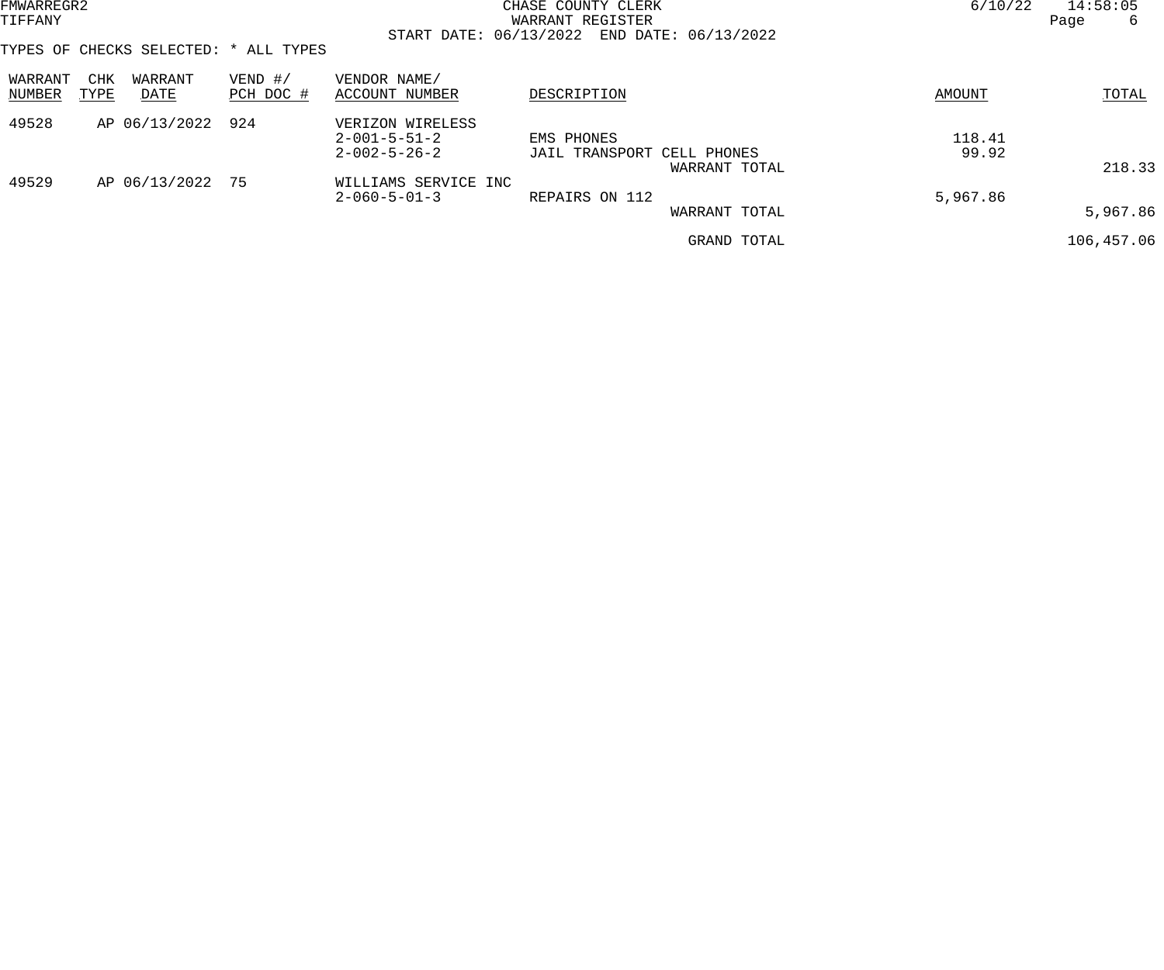| FMWARREGR2        |             |                  |                                       |                                            | CHASE COUNTY CLERK                             | 6/10/22       | 14:58:05   |
|-------------------|-------------|------------------|---------------------------------------|--------------------------------------------|------------------------------------------------|---------------|------------|
| TIFFANY           |             |                  |                                       |                                            | WARRANT REGISTER                               |               | Page<br>6  |
|                   |             |                  |                                       |                                            | START DATE: 06/13/2022 END DATE: 06/13/2022    |               |            |
|                   |             |                  | TYPES OF CHECKS SELECTED: * ALL TYPES |                                            |                                                |               |            |
| WARRANT<br>NUMBER | CHK<br>TYPE | WARRANT<br>DATE  | $VEND$ #/<br>PCH DOC #                | VENDOR NAME/<br>ACCOUNT NUMBER             | DESCRIPTION                                    | <b>AMOUNT</b> | TOTAL      |
| 49528             |             | AP 06/13/2022    | 924                                   | VERIZON WIRELESS<br>$2 - 001 - 5 - 51 - 2$ | EMS PHONES                                     | 118.41        |            |
|                   |             |                  |                                       | $2 - 002 - 5 - 26 - 2$                     | JAIL TRANSPORT<br>CELL PHONES<br>WARRANT TOTAL | 99.92         | 218.33     |
| 49529             |             | AP 06/13/2022 75 |                                       | WILLIAMS SERVICE INC                       |                                                |               |            |
|                   |             |                  |                                       | $2 - 060 - 5 - 01 - 3$                     | REPAIRS ON 112<br>WARRANT TOTAL                | 5,967.86      | 5,967.86   |
|                   |             |                  |                                       |                                            | GRAND TOTAL                                    |               | 106,457.06 |